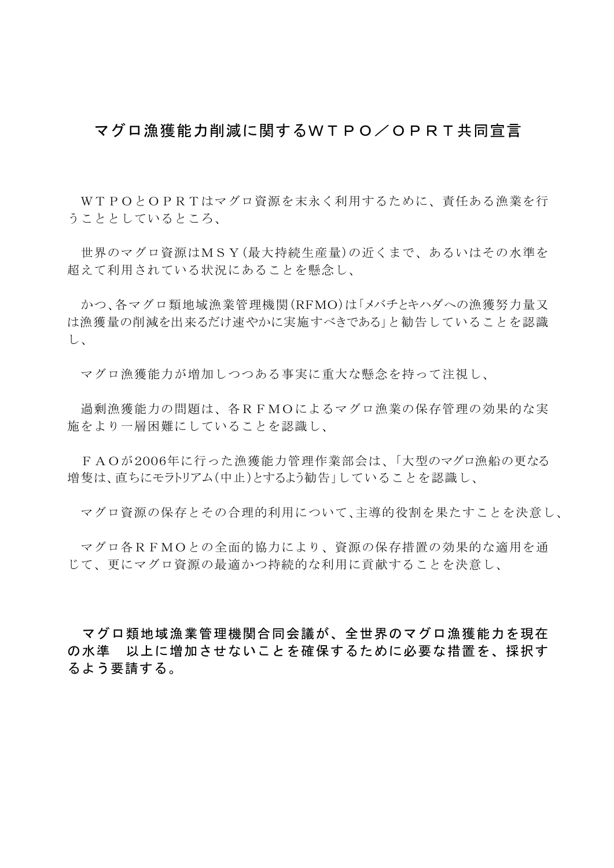## マグロ漁獲能力削減に関するWTPO/OPRT共同宣言

 WTPOとOPRTはマグロ資源を末永く利用するために、責任ある漁業を行 うこととしているところ、

 世界のマグロ資源はMSY(最大持続生産量)の近くまで、あるいはその水準を 超えて利用されている状況にあることを懸念し、

 かつ、各マグロ類地域漁業管理機関(RFMO)は「メバチとキハダへの漁獲努力量又 は漁獲量の削減を出来るだけ速やかに実施すべきである」と勧告していることを認識 し、

マグロ漁獲能力が増加しつつある事実に重大な懸念を持って注視し、

 過剰漁獲能力の問題は、各RFMOによるマグロ漁業の保存管理の効果的な実 施をより一層困難にしていることを認識し、

FAOが2006年に行った漁獲能力管理作業部会は、「大型のマグロ漁船の更なる 増隻は、直ちにモラトリアム(中止)とするよう勧告」していることを認識し、

マグロ資源の保存とその合理的利用について、主導的役割を果たすことを決意し、

 マグロ各RFMOとの全面的協力により、資源の保存措置の効果的な適用を通 じて、更にマグロ資源の最適かつ持続的な利用に貢献することを決意し、

 マグロ類地域漁業管理機関合同会議が、全世界のマグロ漁獲能力を現在 の水準 以上に増加させないことを確保するために必要な措置を、採択す るよう要請する。